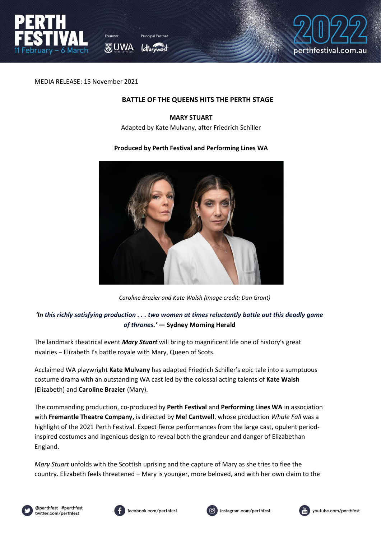

あ UWA



MEDIA RELEASE: 15 November 2021

#### **BATTLE OF THE QUEENS HITS THE PERTH STAGE**

## **MARY STUART** Adapted by Kate Mulvany, after Friedrich Schiller

#### **Produced by Perth Festival and Performing Lines WA**



*Caroline Brazier and Kate Walsh (Image credit: Dan Grant)*

# *'In this richly satisfying production . . . two women at times reluctantly battle out this deadly game of thrones.' —* **Sydney Morning Herald**

The landmark theatrical event *Mary Stuart* will bring to magnificent life one of history's great rivalries − Elizabeth I's battle royale with Mary, Queen of Scots.

Acclaimed WA playwright **Kate Mulvany** has adapted Friedrich Schiller's epic tale into a sumptuous costume drama with an outstanding WA cast led by the colossal acting talents of **Kate Walsh**  (Elizabeth) and **Caroline Brazier** (Mary).

The commanding production, co-produced by **Perth Festival** and **Performing Lines WA** in association with **Fremantle Theatre Company,** is directed by **Mel Cantwell**, whose production *Whale Fall* was a highlight of the 2021 Perth Festival. Expect fierce performances from the large cast, opulent periodinspired costumes and ingenious design to reveal both the grandeur and danger of Elizabethan England.

*Mary Stuart* unfolds with the Scottish uprising and the capture of Mary as she tries to flee the country. Elizabeth feels threatened – Mary is younger, more beloved, and with her own claim to the







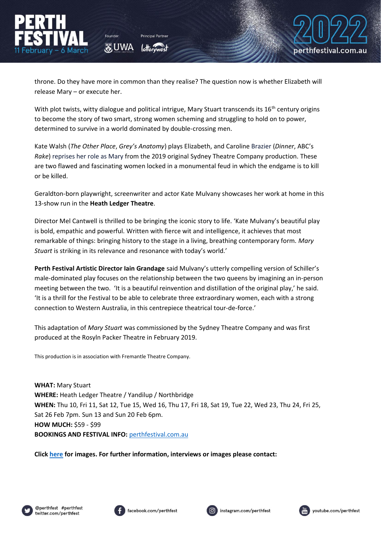throne. Do they have more in common than they realise? The question now is whether Elizabeth will release Mary – or execute her.

あ UWA

With plot twists, witty dialogue and political intrigue, Mary Stuart transcends its 16<sup>th</sup> century origins to become the story of two smart, strong women scheming and struggling to hold on to power, determined to survive in a world dominated by double-crossing men.

Kate Walsh (*The Other Place*, *Grey's Anatomy*) plays Elizabeth, and Caroline Brazier (*Dinner*, ABC's *Rake*) reprises her role as Mary from the 2019 original Sydney Theatre Company production. These are two flawed and fascinating women locked in a monumental feud in which the endgame is to kill or be killed.

Geraldton-born playwright, screenwriter and actor Kate Mulvany showcases her work at home in this 13-show run in the **Heath Ledger Theatre**.

Director Mel Cantwell is thrilled to be bringing the iconic story to life. 'Kate Mulvany's beautiful play is bold, empathic and powerful. Written with fierce wit and intelligence, it achieves that most remarkable of things: bringing history to the stage in a living, breathing contemporary form. *Mary Stuart* is striking in its relevance and resonance with today's world.'

**Perth Festival Artistic Director Iain Grandage** said Mulvany's utterly compelling version of Schiller's male-dominated play focuses on the relationship between the two queens by imagining an in-person meeting between the two. 'It is a beautiful reinvention and distillation of the original play,' he said. 'It is a thrill for the Festival to be able to celebrate three extraordinary women, each with a strong connection to Western Australia, in this centrepiece theatrical tour-de-force.'

This adaptation of *Mary Stuart* was commissioned by the Sydney Theatre Company and was first produced at the Rosyln Packer Theatre in February 2019.

This production is in association with Fremantle Theatre Company.

**WHAT:** Mary Stuart **WHERE:** Heath Ledger Theatre / Yandilup / Northbridge **WHEN:** Thu 10, Fri 11, Sat 12, Tue 15, Wed 16, Thu 17, Fri 18, Sat 19, Tue 22, Wed 23, Thu 24, Fri 25, Sat 26 Feb 7pm. Sun 13 and Sun 20 Feb 6pm. **HOW MUCH:** \$59 - \$99 **BOOKINGS AND FESTIVAL INFO:** <perthfestival.com.au>

**Clic[k here](https://cloud.perthfestival.com.au/index.php/s/QU2VzeOUQfFI6gl) for images. For further information, interviews or images please contact:** 







perthfestival.com.au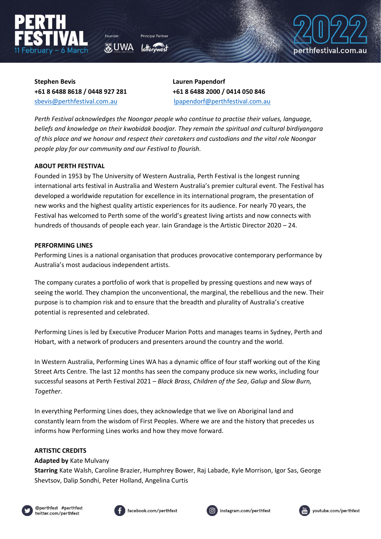

**O**UWA



**Stephen Bevis Lauren Papendorf +61 8 6488 8618 / 0448 927 281 +61 8 6488 2000 / 0414 050 846**

[sbevis@perthfestival.com.au](mailto:sbevis@perthfestival.com.au) [lpapendorf@perthfestival.com.au](mailto:lpapendorf@perthfestival.com.au)

*Perth Festival acknowledges the Noongar people who continue to practise their values, language, beliefs and knowledge on their kwobidak boodjar. They remain the spiritual and cultural birdiyangara of this place and we honour and respect their caretakers and custodians and the vital role Noongar people play for our community and our Festival to flourish.* 

## **ABOUT PERTH FESTIVAL**

Founded in 1953 by The University of Western Australia, Perth Festival is the longest running international arts festival in Australia and Western Australia's premier cultural event. The Festival has developed a worldwide reputation for excellence in its international program, the presentation of new works and the highest quality artistic experiences for its audience. For nearly 70 years, the Festival has welcomed to Perth some of the world's greatest living artists and now connects with hundreds of thousands of people each year. Iain Grandage is the Artistic Director 2020 – 24.

### **PERFORMING LINES**

Performing Lines is a national organisation that produces provocative contemporary performance by Australia's most audacious independent artists.

The company curates a portfolio of work that is propelled by pressing questions and new ways of seeing the world. They champion the unconventional, the marginal, the rebellious and the new. Their purpose is to champion risk and to ensure that the breadth and plurality of Australia's creative potential is represented and celebrated.

Performing Lines is led by Executive Producer Marion Potts and manages teams in Sydney, Perth and Hobart, with a network of producers and presenters around the country and the world.

In Western Australia, Performing Lines WA has a dynamic office of four staff working out of the King Street Arts Centre. The last 12 months has seen the company produce six new works, including four successful seasons at Perth Festival 2021 – *Black Brass*, *Children of the Sea*, *Galup* and *Slow Burn, Together*.

In everything Performing Lines does, they acknowledge that we live on Aboriginal land and constantly learn from the wisdom of First Peoples. Where we are and the history that precedes us informs how Performing Lines works and how they move forward.

# **ARTISTIC CREDITS**

### **Adapted by** Kate Mulvany

**Starring** Kate Walsh, Caroline Brazier, Humphrey Bower, Raj Labade, Kyle Morrison, Igor Sas, George Shevtsov, Dalip Sondhi, Peter Holland, Angelina Curtis









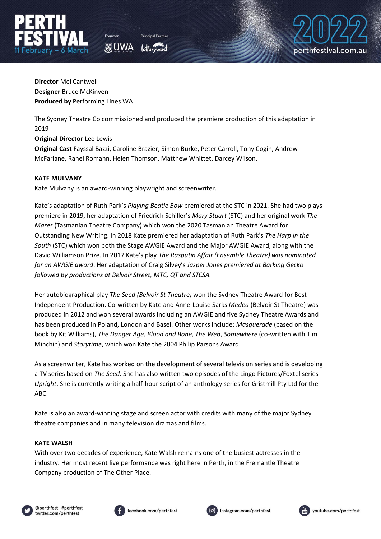



**Director** Mel Cantwell **Designer** Bruce McKinven **Produced by** Performing Lines WA

The Sydney Theatre Co commissioned and produced the premiere production of this adaptation in 2019

## **Original Director** Lee Lewis

**Original Cast** Fayssal Bazzi, Caroline Brazier, Simon Burke, Peter Carroll, Tony Cogin, Andrew McFarlane, Rahel Romahn, Helen Thomson, Matthew Whittet, Darcey Wilson.

## **KATE MULVANY**

Kate Mulvany is an award-winning playwright and screenwriter.

**家UWA** 

Kate's adaptation of Ruth Park's *Playing Beatie Bow* premiered at the STC in 2021. She had two plays premiere in 2019, her adaptation of Friedrich Schiller's *Mary Stuart* (STC) and her original work *The Mares* (Tasmanian Theatre Company) which won the 2020 Tasmanian Theatre Award for Outstanding New Writing. In 2018 Kate premiered her adaptation of Ruth Park's *The Harp in the South* (STC) which won both the Stage AWGIE Award and the Major AWGIE Award, along with the David Williamson Prize. In 2017 Kate's play *The Rasputin Affair (Ensemble Theatre) was nominated for an AWGIE award*. Her adaptation of Craig Silvey's *Jasper Jones premiered at Barking Gecko followed by productions at Belvoir Street, MTC, QT and STCSA.* 

Her autobiographical play *The Seed (Belvoir St Theatre)* won the Sydney Theatre Award for Best Independent Production. Co-written by Kate and Anne-Louise Sarks *Medea* (Belvoir St Theatre) was produced in 2012 and won several awards including an AWGIE and five Sydney Theatre Awards and has been produced in Poland, London and Basel. Other works include; *Masquerade* (based on the book by Kit Williams), *The Danger Age, Blood and Bone, The Web*, *Somewhere* (co-written with Tim Minchin) and *Storytime*, which won Kate the 2004 Philip Parsons Award.

As a screenwriter, Kate has worked on the development of several television series and is developing a TV series based on *The Seed*. She has also written two episodes of the Lingo Pictures/Foxtel series *Upright*. She is currently writing a half-hour script of an anthology series for Gristmill Pty Ltd for the ABC.

Kate is also an award-winning stage and screen actor with credits with many of the major Sydney theatre companies and in many television dramas and films.

# **KATE WALSH**

With over two decades of experience, Kate Walsh remains one of the busiest actresses in the industry. Her most recent live performance was right here in Perth, in the Fremantle Theatre Company production of The Other Place.





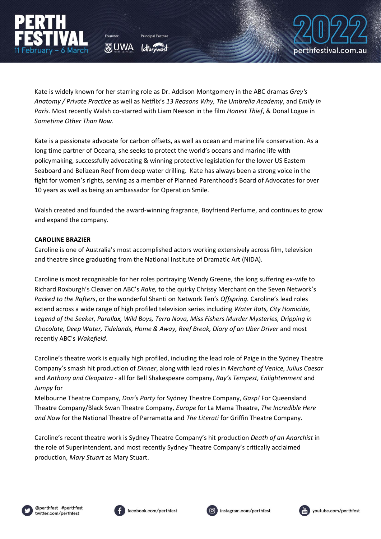Kate is widely known for her starring role as Dr. Addison Montgomery in the ABC dramas *Grey's Anatomy / Private Practice* as well as Netflix's *13 Reasons Why, The Umbrella Academy*, and *Emily In Paris.* Most recently Walsh co-starred with Liam Neeson in the film *Honest Thief*, & Donal Logue in *Sometime Other Than Now.*

O UWA

Kate is a passionate advocate for carbon offsets, as well as ocean and marine life conservation. As a long time partner of Oceana, she seeks to protect the world's oceans and marine life with policymaking, successfully advocating & winning protective legislation for the lower US Eastern Seaboard and Belizean Reef from deep water drilling. Kate has always been a strong voice in the fight for women's rights, serving as a member of Planned Parenthood's Board of Advocates for over 10 years as well as being an ambassador for Operation Smile.

Walsh created and founded the award-winning fragrance, Boyfriend Perfume, and continues to grow and expand the company.

## **CAROLINE BRAZIER**

Caroline is one of Australia's most accomplished actors working extensively across film, television and theatre since graduating from the National Institute of Dramatic Art (NIDA).

Caroline is most recognisable for her roles portraying Wendy Greene, the long suffering ex-wife to Richard Roxburgh's Cleaver on ABC's *Rake,* to the quirky Chrissy Merchant on the Seven Network's *Packed to the Rafters*, or the wonderful Shanti on Network Ten's *Offspring.* Caroline's lead roles extend across a wide range of high profiled television series including *Water Rats, City Homicide, Legend of the Seeker, Parallax, Wild Boys, Terra Nova, Miss Fishers Murder Mysteries, Dripping in Chocolate, Deep Water, Tidelands, Home & Away, Reef Break, Diary of an Uber Driver* and most recently ABC's *Wakefield*.

Caroline's theatre work is equally high profiled, including the lead role of Paige in the Sydney Theatre Company's smash hit production of *Dinner*, along with lead roles in *Merchant of Venice, Julius Caesar* and *Anthony and Cleopatra* - all for Bell Shakespeare company, *Ray's Tempest, Enlightenment* and *Jumpy* for

Melbourne Theatre Company, *Don's Party* for Sydney Theatre Company, *Gasp!* For Queensland Theatre Company/Black Swan Theatre Company, *Europe* for La Mama Theatre, *The Incredible Here and Now* for the National Theatre of Parramatta and *The Literati* for Griffin Theatre Company.

Caroline's recent theatre work is Sydney Theatre Company's hit production *Death of an Anarchist* in the role of Superintendent, and most recently Sydney Theatre Company's critically acclaimed production, *Mary Stuart* as Mary Stuart.







perthfestival.com.au